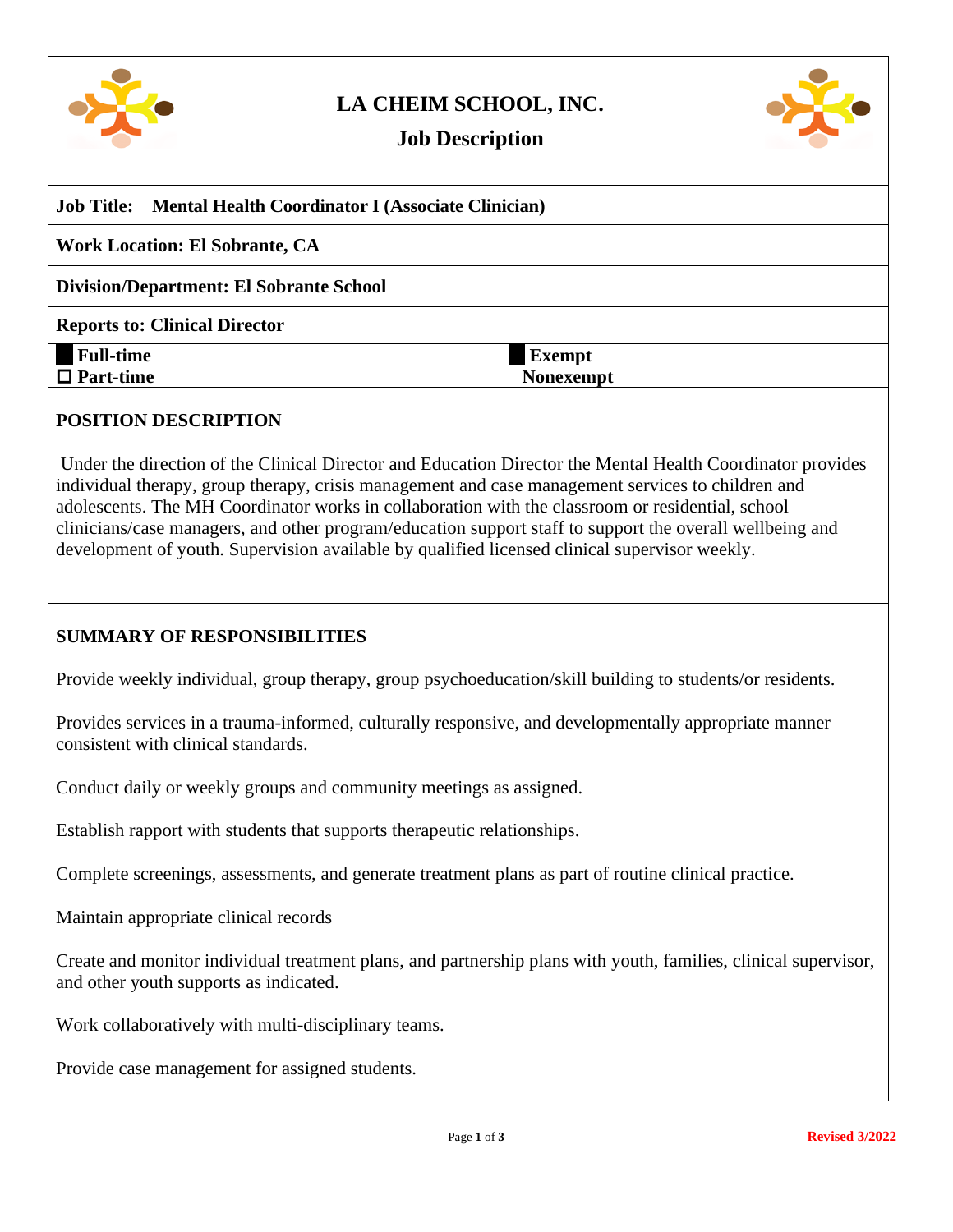

# **LA CHEIM SCHOOL, INC.**



## **Job Description**

| <b>Job Title:</b> Mental Health Coordinator I (Associate Clinician) |                  |
|---------------------------------------------------------------------|------------------|
| <b>Work Location: El Sobrante, CA</b>                               |                  |
| <b>Division/Department: El Sobrante School</b>                      |                  |
| <b>Reports to: Clinical Director</b>                                |                  |
| <b>Full-time</b>                                                    | <b>Exempt</b>    |
| $\Box$ Part-time                                                    | <b>Nonexempt</b> |

### **POSITION DESCRIPTION**

Under the direction of the Clinical Director and Education Director the Mental Health Coordinator provides individual therapy, group therapy, crisis management and case management services to children and adolescents. The MH Coordinator works in collaboration with the classroom or residential, school clinicians/case managers, and other program/education support staff to support the overall wellbeing and development of youth. Supervision available by qualified licensed clinical supervisor weekly.

### **SUMMARY OF RESPONSIBILITIES**

Provide weekly individual, group therapy, group psychoeducation/skill building to students/or residents.

Provides services in a trauma-informed, culturally responsive, and developmentally appropriate manner consistent with clinical standards.

Conduct daily or weekly groups and community meetings as assigned.

Establish rapport with students that supports therapeutic relationships.

Complete screenings, assessments, and generate treatment plans as part of routine clinical practice.

Maintain appropriate clinical records

Create and monitor individual treatment plans, and partnership plans with youth, families, clinical supervisor, and other youth supports as indicated.

Work collaboratively with multi-disciplinary teams.

Provide case management for assigned students.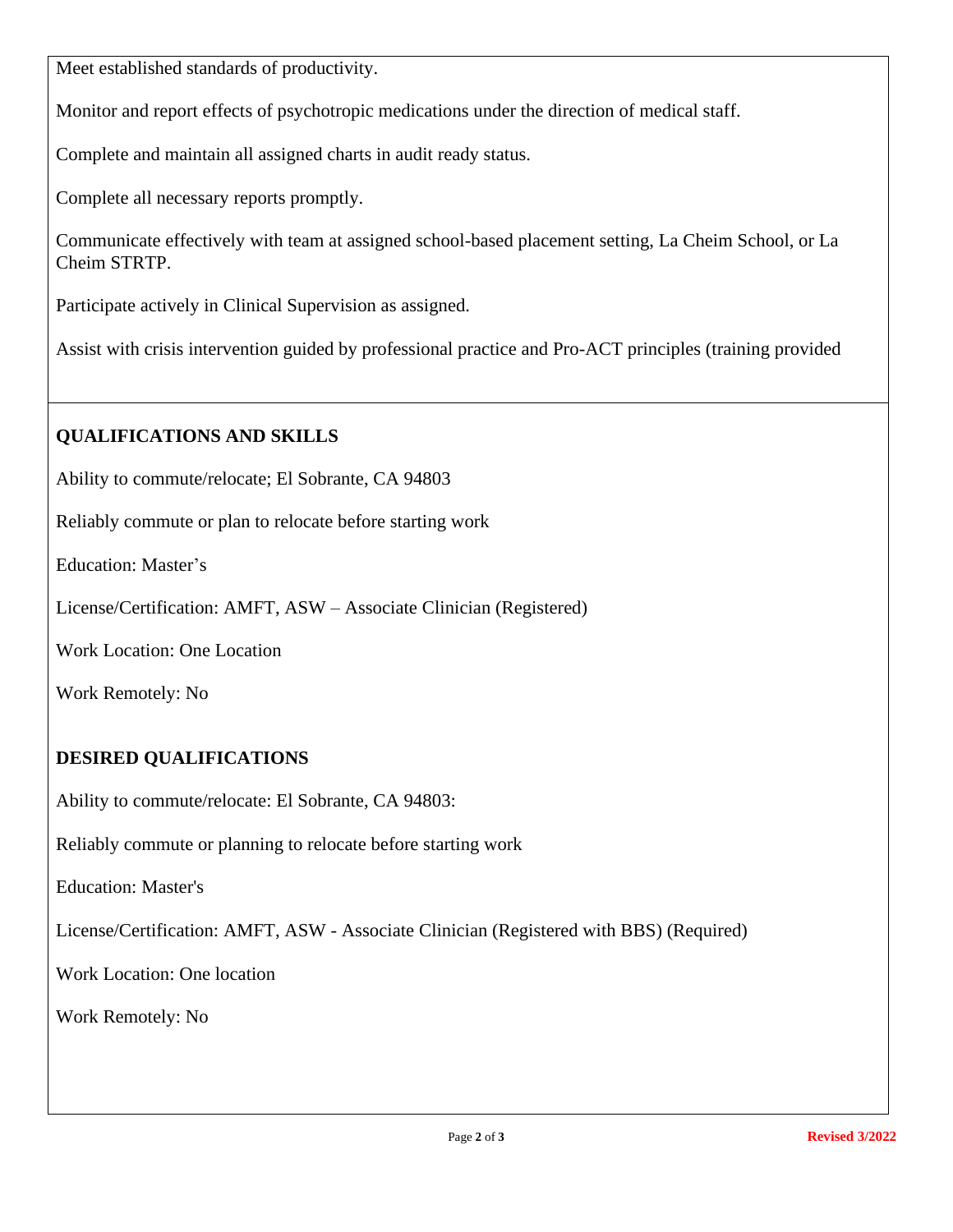Meet established standards of productivity.

Monitor and report effects of psychotropic medications under the direction of medical staff.

Complete and maintain all assigned charts in audit ready status.

Complete all necessary reports promptly.

Communicate effectively with team at assigned school-based placement setting, La Cheim School, or La Cheim STRTP.

Participate actively in Clinical Supervision as assigned.

Assist with crisis intervention guided by professional practice and Pro-ACT principles (training provided

## **QUALIFICATIONS AND SKILLS**

Ability to commute/relocate; El Sobrante, CA 94803

Reliably commute or plan to relocate before starting work

Education: Master's

License/Certification: AMFT, ASW – Associate Clinician (Registered)

Work Location: One Location

Work Remotely: No

## **DESIRED QUALIFICATIONS**

Ability to commute/relocate: El Sobrante, CA 94803:

Reliably commute or planning to relocate before starting work

Education: Master's

License/Certification: AMFT, ASW - Associate Clinician (Registered with BBS) (Required)

Work Location: One location

Work Remotely: No